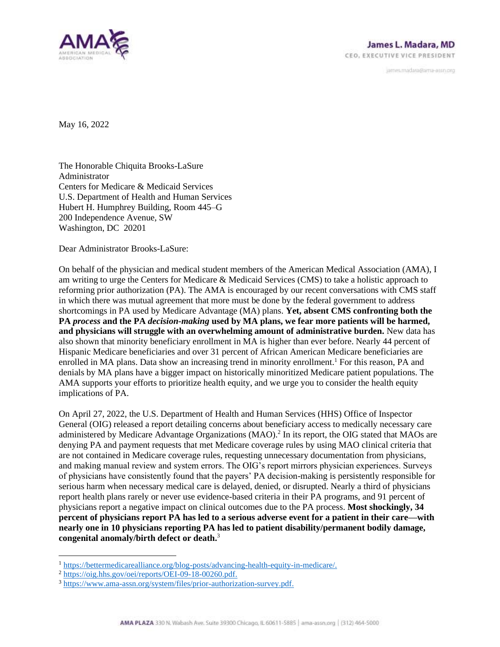

janves madara@ama-assn.org

May 16, 2022

The Honorable Chiquita Brooks-LaSure Administrator Centers for Medicare & Medicaid Services U.S. Department of Health and Human Services Hubert H. Humphrey Building, Room 445–G 200 Independence Avenue, SW Washington, DC 20201

Dear Administrator Brooks-LaSure:

On behalf of the physician and medical student members of the American Medical Association (AMA), I am writing to urge the Centers for Medicare & Medicaid Services (CMS) to take a holistic approach to reforming prior authorization (PA). The AMA is encouraged by our recent conversations with CMS staff in which there was mutual agreement that more must be done by the federal government to address shortcomings in PA used by Medicare Advantage (MA) plans. **Yet, absent CMS confronting both the PA** *process* **and the PA** *decision-making* **used by MA plans, we fear more patients will be harmed, and physicians will struggle with an overwhelming amount of administrative burden.** New data has also shown that minority beneficiary enrollment in MA is higher than ever before. Nearly 44 percent of Hispanic Medicare beneficiaries and over 31 percent of African American Medicare beneficiaries are enrolled in MA plans. Data show an increasing trend in minority enrollment.<sup>1</sup> For this reason, PA and denials by MA plans have a bigger impact on historically minoritized Medicare patient populations. The AMA supports your efforts to prioritize health equity, and we urge you to consider the health equity implications of PA.

On April 27, 2022, the U.S. Department of Health and Human Services (HHS) Office of Inspector General (OIG) released a report detailing concerns about beneficiary access to medically necessary care administered by Medicare Advantage Organizations (MAO).<sup>2</sup> In its report, the OIG stated that MAOs are denying PA and payment requests that met Medicare coverage rules by using MAO clinical criteria that are not contained in Medicare coverage rules, requesting unnecessary documentation from physicians, and making manual review and system errors. The OIG's report mirrors physician experiences. Surveys of physicians have consistently found that the payers' PA decision-making is persistently responsible for serious harm when necessary medical care is delayed, denied, or disrupted. Nearly a third of physicians report health plans rarely or never use evidence-based criteria in their PA programs, and 91 percent of physicians report a negative impact on clinical outcomes due to the PA process. **Most shockingly, 34 percent of physicians report PA has led to a serious adverse event for a patient in their care—with nearly one in 10 physicians reporting PA has led to patient disability/permanent bodily damage, congenital anomaly/birth defect or death.**<sup>3</sup>

<sup>1</sup> [https://bettermedicarealliance.org/blog-posts/advancing-health-equity-in-medicare/.](https://bettermedicarealliance.org/blog-posts/advancing-health-equity-in-medicare/)

<sup>2</sup> [https://oig.hhs.gov/oei/reports/OEI-09-18-00260.pdf.](https://oig.hhs.gov/oei/reports/OEI-09-18-00260.pdf)

<sup>3</sup> [https://www.ama-assn.org/system/files/prior-authorization-survey.pdf.](https://www.ama-assn.org/system/files/prior-authorization-survey.pdf)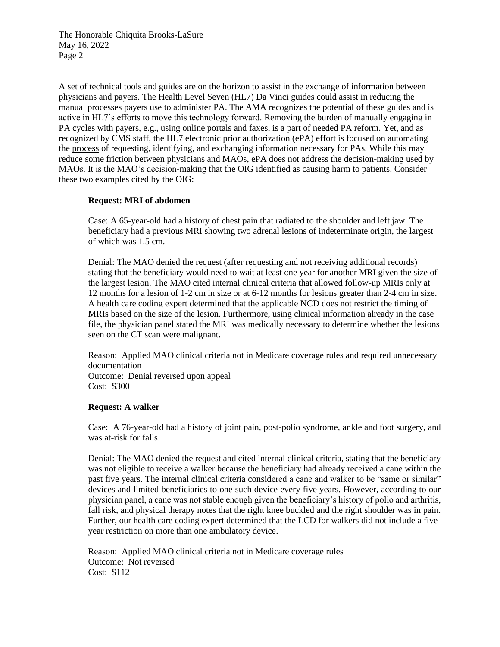The Honorable Chiquita Brooks-LaSure May 16, 2022 Page 2

A set of technical tools and guides are on the horizon to assist in the exchange of information between physicians and payers. The Health Level Seven (HL7) Da Vinci guides could assist in reducing the manual processes payers use to administer PA. The AMA recognizes the potential of these guides and is active in HL7's efforts to move this technology forward. Removing the burden of manually engaging in PA cycles with payers, e.g., using online portals and faxes, is a part of needed PA reform. Yet, and as recognized by CMS staff, the HL7 electronic prior authorization (ePA) effort is focused on automating the process of requesting, identifying, and exchanging information necessary for PAs. While this may reduce some friction between physicians and MAOs, ePA does not address the decision-making used by MAOs. It is the MAO's decision-making that the OIG identified as causing harm to patients. Consider these two examples cited by the OIG:

## **Request: MRI of abdomen**

Case: A 65-year-old had a history of chest pain that radiated to the shoulder and left jaw. The beneficiary had a previous MRI showing two adrenal lesions of indeterminate origin, the largest of which was 1.5 cm.

Denial: The MAO denied the request (after requesting and not receiving additional records) stating that the beneficiary would need to wait at least one year for another MRI given the size of the largest lesion. The MAO cited internal clinical criteria that allowed follow-up MRIs only at 12 months for a lesion of 1-2 cm in size or at 6-12 months for lesions greater than 2-4 cm in size. A health care coding expert determined that the applicable NCD does not restrict the timing of MRIs based on the size of the lesion. Furthermore, using clinical information already in the case file, the physician panel stated the MRI was medically necessary to determine whether the lesions seen on the CT scan were malignant.

Reason: Applied MAO clinical criteria not in Medicare coverage rules and required unnecessary documentation Outcome: Denial reversed upon appeal Cost: \$300

## **Request: A walker**

Case: A 76-year-old had a history of joint pain, post-polio syndrome, ankle and foot surgery, and was at-risk for falls.

Denial: The MAO denied the request and cited internal clinical criteria, stating that the beneficiary was not eligible to receive a walker because the beneficiary had already received a cane within the past five years. The internal clinical criteria considered a cane and walker to be "same or similar" devices and limited beneficiaries to one such device every five years. However, according to our physician panel, a cane was not stable enough given the beneficiary's history of polio and arthritis, fall risk, and physical therapy notes that the right knee buckled and the right shoulder was in pain. Further, our health care coding expert determined that the LCD for walkers did not include a fiveyear restriction on more than one ambulatory device.

Reason: Applied MAO clinical criteria not in Medicare coverage rules Outcome: Not reversed Cost: \$112